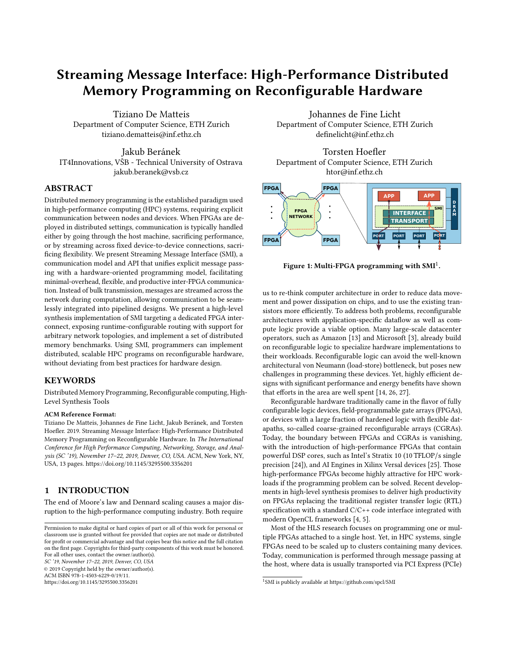# Streaming Message Interface: High-Performance Distributed Memory Programming on Reconfigurable Hardware

Tiziano De Matteis Department of Computer Science, ETH Zurich tiziano.dematteis@inf.ethz.ch

Jakub Beránek IT4Innovations, VŠB - Technical University of Ostrava jakub.beranek@vsb.cz

# ABSTRACT

Distributed memory programming is the established paradigm used in high-performance computing (HPC) systems, requiring explicit communication between nodes and devices. When FPGAs are deployed in distributed settings, communication is typically handled either by going through the host machine, sacrificing performance, or by streaming across fixed device-to-device connections, sacrificing flexibility. We present Streaming Message Interface (SMI), a communication model and API that unifies explicit message passing with a hardware-oriented programming model, facilitating minimal-overhead, flexible, and productive inter-FPGA communication. Instead of bulk transmission, messages are streamed across the network during computation, allowing communication to be seamlessly integrated into pipelined designs. We present a high-level synthesis implementation of SMI targeting a dedicated FPGA interconnect, exposing runtime-configurable routing with support for arbitrary network topologies, and implement a set of distributed memory benchmarks. Using SMI, programmers can implement distributed, scalable HPC programs on reconfigurable hardware, without deviating from best practices for hardware design.

# **KEYWORDS**

Distributed Memory Programming, Reconfigurable computing, High-Level Synthesis Tools

#### ACM Reference Format:

Tiziano De Matteis, Johannes de Fine Licht, Jakub Beránek, and Torsten Hoefler. 2019. Streaming Message Interface: High-Performance Distributed Memory Programming on Reconfigurable Hardware. In The International Conference for High Performance Computing, Networking, Storage, and Analysis (SC '19), November 17–22, 2019, Denver, CO, USA. ACM, New York, NY, USA, 13 pages.<https://doi.org/10.1145/3295500.3356201>

# 1 INTRODUCTION

The end of Moore's law and Dennard scaling causes a major disruption to the high-performance computing industry. Both require

SC '19, November 17–22, 2019, Denver, CO, USA

© 2019 Copyright held by the owner/author(s).

ACM ISBN 978-1-4503-6229-0/19/11.

<https://doi.org/10.1145/3295500.3356201>

Johannes de Fine Licht Department of Computer Science, ETH Zurich definelicht@inf.ethz.ch

Torsten Hoefler Department of Computer Science, ETH Zurich htor@inf.ethz.ch



Figure 1: Multi-FPGA programming with SMI $^1\!.$ 

us to re-think computer architecture in order to reduce data movement and power dissipation on chips, and to use the existing transistors more efficiently. To address both problems, reconfigurable architectures with application-specific dataflow as well as compute logic provide a viable option. Many large-scale datacenter operators, such as Amazon [13] and Microsoft [3], already build on reconfigurable logic to specialize hardware implementations to their workloads. Reconfigurable logic can avoid the well-known architectural von Neumann (load-store) bottleneck, but poses new challenges in programming these devices. Yet, highly efficient designs with significant performance and energy benefits have shown that efforts in the area are well spent [14, 26, 27].

Reconfigurable hardware traditionally came in the flavor of fully configurable logic devices, field-programmable gate arrays (FPGAs), or devices with a large fraction of hardened logic with flexible datapaths, so-called coarse-grained reconfigurable arrays (CGRAs). Today, the boundary between FPGAs and CGRAs is vanishing, with the introduction of high-performance FPGAs that contain powerful DSP cores, such as Intel's Stratix 10 (10 TFLOP/s single precision [24]), and AI Engines in Xilinx Versal devices [25]. Those high-performance FPGAs become highly attractive for HPC workloads if the programming problem can be solved. Recent developments in high-level synthesis promises to deliver high productivity on FPGAs replacing the traditional register transfer logic (RTL) specification with a standard C/C++ code interface integrated with modern OpenCL frameworks [4, 5].

Most of the HLS research focuses on programming one or multiple FPGAs attached to a single host. Yet, in HPC systems, single FPGAs need to be scaled up to clusters containing many devices. Today, communication is performed through message passing at the host, where data is usually transported via PCI Express (PCIe)

Permission to make digital or hard copies of part or all of this work for personal or classroom use is granted without fee provided that copies are not made or distributed for profit or commercial advantage and that copies bear this notice and the full citation on the first page. Copyrights for third-party components of this work must be honored. For all other uses, contact the owner/author(s).

<sup>1</sup> SMI is publicly available at [https://github.com/spcl/SMI]( https://github.com/spcl/SMI)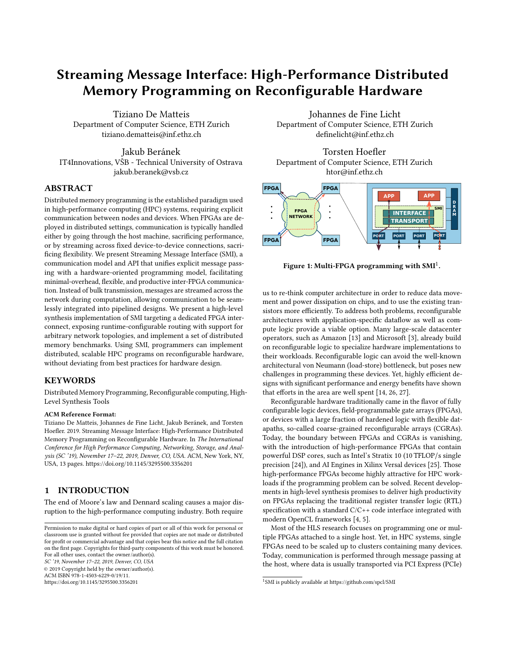to the main memory, and then through a different PCIe channel to the network interface. This adds high overheads in terms of latency, bandwidth, and load on the host's memory subsystem. Nearly all modern FPGA chips bear high-performance serial link network connections. For example, Intel's Stratix 10 chip has four 40 Gbit/s connections and Xilinx' UltraScale+ chips support 30 Gbit/s offchip connectivity. These links are often available via proprietary interfaces for communication among directly connected FPGAs. Unfortunately, no distributed memory programming model exists for HLS-programmed devices, and programmers are forced to resort to licensed IP cores and RTL designs to implement FPGA-to-FPGA communications [16, 20].

We propose a distributed memory HLS programming model for FPGAs that provides the convenience of message passing for HLSprogrammed hardware devices. While we cannot simply use the Message Passing Interface (MPI) API due to the peculiarities of programmed hardware, we are heavily inspired by MPI's interface, to benefit from its proven effectiveness in practice, and maintain familiarity for programmers. The reason for this specialization is that high-performance HLS designs are deeply pipelined and vectorized. This means that several results are produced at each clock cycle and shallow buffering along predefined (pipeline) paths is a necessity for performance. Thus, our Streaming Message Interface (SMI) does not assume that buffers are first computed and then communicated—instead, sending a message is integrated into the pipeline. The key concept of SMI is its streaming nature, where a send or receive is set up first, and the data is then written or read on a cycle-by-cycle basis. This concept modifies MPI-style messages into transient channels, that have similar semantics, but integrate seamlessly with HLS-programmed pipelines. The key contributions of our work are:

- We propose the streaming messages communication model, unifying the message passing and streaming models;
- We design the Streaming Message Interface (SMI), an HLS communication interface specification for programming streaming messages in distributed memory multi-FPGA systems;
- We implement and benchmark a reference implementation of SMI that integrates with OpenCL on Intel FPGAs;
- We release the reference library and example applications implemented with a modern HLS tool as open source code that does not rely on additional licensed IP cores.

We evaluate our approach on several numerical computations, showing the performance benefits of distributed memory FPGA programming, by increasing available compute resources and memory bandwidth.

# 2 PROGRAMMING FPGA COMMUNICATION

To design a suitable communication model for distributed FPGA programming, we wish to learn from the most prominent model found in HPC, namely message passing (specifically, MPI), but adapt it to a form suitable for hardware programming. We call our model streaming messages, and will introduce it by highlighting the gaps in existing models, which it has been designed to fill.

Programming FPGAs with high-level synthesis revolves around designing deep hardware *pipelines*, exploiting the spatially parallel nature of the FPGA fabric. Parallelism is achieved by making this pipeline deeper (pipeline parallelism), by making the pipeline wider (vector parallelism), or by replicating the pipeline entirely (task parallelism) [6]. Pipelines are expressed as loops in the HLS code, designed such that new operands can be accepted every cycle. It is thus imperative that a communication model is compatible with this programming model, allowing communication to happen during pipelined computations.

# 2.1 Existing Communication Models

2.1.1 Message Passing. The paradigm of message passing uses local buffers to both send and receive information to/from other processes (called ranks). A distributed algorithm will work on a local subset of data on each rank, then indicate to the communication layer when a buffer is ready to be sent to another rank, or when it is ready to receive new data into a buffer. This is illustrated with an example code in Fig. 2, where a buffer is populated in a loop, then sent to another rank. To hide communication time, message passing uses non-blocking calls to overlap communication and computation, thus letting ranks operate on different data than what is currently being exchanged.

In the context of hardware programming, message passing has two key shortcomings. First, the model relies on bulk transfers, which is a poor match to the HLS programming model, as we wish to communicate during pipelined computation. Second, bulk transfers imply large buffers required to store intermediate data. On the CPU, these buffers exist in the global memory space, and

for (int  $i = 0$ ;  $i < N$ ;  $i^{++}$ )  $buffer[i] = compute(data[i]);$ SendMessage(buffer, N, my\_rank + 2);



Figure 2: Message passing.

// Channel fixed in the architecture for (int  $i = 0$ ;  $i < N$ ;  $i^{++}$ ) stream.Push(compute(data[i]));



Figure 3: Streaming.

Channel channel(N, my\_rank + 2, 0); for (int  $i = 0$ ;  $i < N$ ;  $i^{++}$ ) channel.Push(compute(data[i]));



Figure 4: Streaming messages.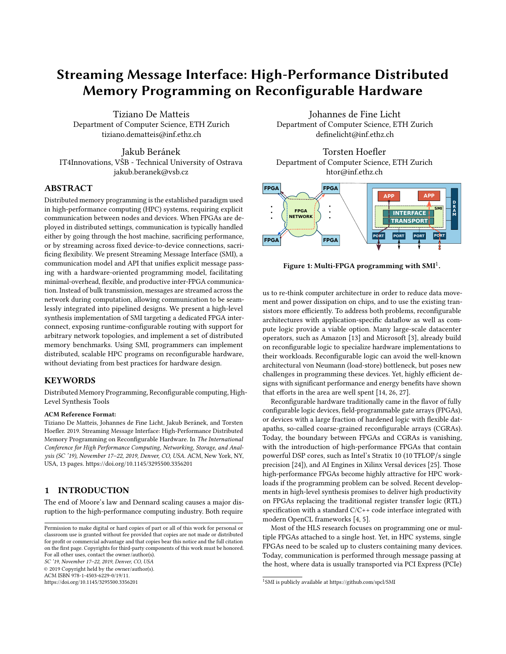can dynamically move between cache and DRAM, depending on their size and the behavior of the program. In contrast, buffers used when programming for hardware are explicitly instantiated in a fast memory distributed across the chip, and moving them to an offchip memory requires explicit wiring to limited DRAM interfaces, which are shared among all accesses. Fully adapting this approach in hardware would thus come with significant disadvantages in resource utilization, programmability, and performance.

2.1.2 Streaming. A classical way of moving data between FPGAs is to simply stream it across an inter-FPGA channel in a pipelined fashion (e.g., the Maxeler dataflow engine architecture [7]), similar to how data is moved across the chip on a single FPGA. This approach offers a way of expressing communication that is natural to the hardware paradigm, by pushing data to the output interface in a pipelined fashion during processing (see Fig. 3). Streaming relies on point-to-point connections known at configuration time, suitable for extending one-dimensional systolic array-style architectures across multiple chips [22].

The major shortcoming of streaming interfaces in a distributed memory setting is the lack of flexibility in the implied API and transport layer. Even if the target platform has the necessary hardware ports, a shell that exposes them, and an API to access them, moving data from a given source to a given destination requires the programmer to construct the exact path that the data has to move across as part of the architecture. This has to be repeated for every desired communication channel, for every target application; including forwarding logic when multiple hops are required, and arbitration between different channels using the same hardware connection. In the example shown in Fig. 3, data travelling from FPGA 0 to FPGA 2 must first be sent through FPGA 1, where custom user logic must take care of forwarding it to the final destination. For more complicated distributed memory environments, the streaming interface in its pure form is thus insufficient to productively express arbitrary communication patterns.

#### 2.2 Streaming Messages

To capture the key ideas of message passing and streaming, while addressing the gaps in both outlined above, we introduce streaming messages: an HPC-oriented communication model for hardware programming, with an implied transport layer. Streaming messages replace traditional, buffered messages with pipeline-friendly transient channels, offering a streaming interface to the hardware programmer, but with the flexibility known from the message passing paradigm. Knowledge of the interconnect topology is not required at compile-time: channels between endpoints are transiently established, where source and destination ranks can be specified dynamically. This is illustrated in Fig. 4, where a kernel on rank 0 on FPGA $_0$  opens a channel to rank 2 on FPGA $_2$ , using port 0 to distinguish the target application (akin to starting a non-blocking send in MPI, but without implying that the data is ready), then pushes data to the channel during processing in a pipelined fashion (as in the streaming paradigm). Routing data to the destination is then handled transparently by the transport layer.

In streaming messages, a rank is associated with a coarse hardware entity assigned to dedicated communication logic, connected to the incoming and outgoing hardware communication ports. A

port uniquely identifies an endpoint within a rank, and implements a hardware streaming interface for every Push and Pop operation present in the code to/from a matching external port. This implies that all ports must be known at compile time, such that, within each rank, the necessary hardware connections between the communication endpoints and the network can be instantiated. Ports must be specified both for point-to-point and collective communication primitives to establish the required hardware. All ports represent hardware connections, and can thus operate fully in parallel.

Channels can be programmed either in a single program, multiple data (SPMD) fashion, or in a multiple program, multiple data (MPMD) fashion. In this work, we assume a single rank per FPGA. Ranks involved in communication and the total number of ranks can then be dynamically altered without recompiling the program, by simply updating the routing configuration at each rank.

#### 3 STREAMING MESSAGE INTERFACE

To concretize the concept of streaming messages, we introduce the Streaming Message Interface (SMI), a communication interface specification for HLS programs inspired by MPI [19]. SMI is not an implementation, and merely implies the functionality that must be supported by the transport layer to support the interface specification. The interface exposes primitives for both point-to-point and collective communications.

#### 3.1 Point-to-Point Communication

Point-to-point communication in SMI codes is based on transient channels: when established, a streaming interface is exposed at the specified port at either end, allowing data to be streamed across the network using FIFO semantics, with an optional finite amount of buffer space at each endpoint. A streaming message consists of one or more elements with a specified data type. The communication endpoints are uniquely identified by their rank. Ranks uniquely identify FPGA devices, and ports distinguish distinct communication endpoints within a rank.

```
void Rank0(const int N, /* ...args... */) {
  SMI_Channel chs = SMI_Open_send_channel( // Send to
      N, SMI_INT, 1, 0, SMI_COMM_WORLD); // rank 1
  #pragma ii 1 // Pipelined loop
  for (int i = 0; i < N; i++) {
    int data = /* create or load interesting data */;SMI_Push(&chs, &data);
} }
void Rank1(const int N, /* ...args... */) {
  SMI_Channel chr = SMI_Open_recv_channel( // Receive
      N, SMI_INT, 0, 0, SMI_COMM_WORLD); // from rank 0
  #pragma ii 1 // Pipelined loop
  for (int i = 0; i < N; i^{++}) {
    int data;
    SMI_Pop(&chr, &data);
    // ...do something useful with data...
} }
```
Listing 1: MPMD program with two ranks.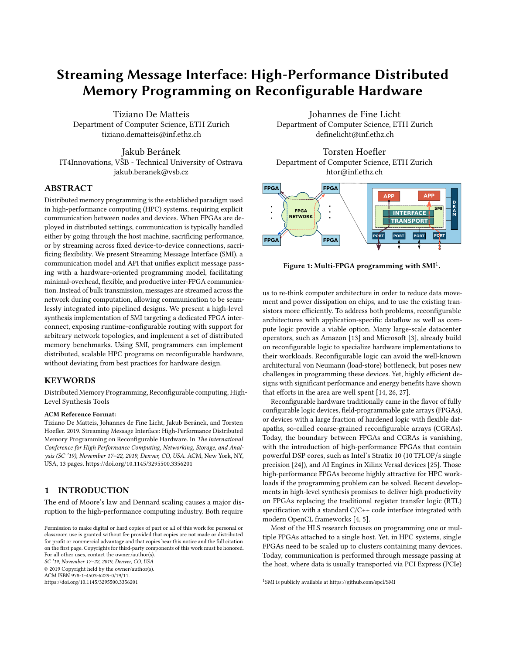The example in Lst. 1 shows an MPMD application composed of two ranks implemented with SMI (for code examples, we use the Intel FPGA OpenCL directive syntax, where pragmas apply to the following scope). Rank  $0$  streams a message of  $N$  integer elements to Rank 1 using a send channel. Rank 1 opens a receive channel to receive the message, and applies a computation on each data item. Input and output channels are opened before the beginning of the loop, and messages are received and sent one-by-one during computation. Channels are thus accessible with a streaming cycleby-cycle interface: computations can Push or Pop data to/from a communication channel, one data element per clock cycle.

3.1.1 Point-to-Point Communication API. The user can declare a send or receive channel by specifying the number of elements to send, the data type of the elements, the source or destination rank, the port, and the communicator. Once established, channels exist in code in the form of channel descriptors. Channels are implicitly closed when the specified number of elements have been sent or received.

SMI\_Channel SMI\_Open\_send\_channel(int count, SMI\_Datatype ,<sup>→</sup> type, int destination, int port, SMI\_Comm comm); SMI\_Channel SMI\_Open\_recv\_channel(int count, SMI\_Datatype ,<sup>→</sup> type, int source, int port, SMI\_Comm comm);

Analogously to MPI, communicators can be established at runtime, and allow communication to be further organized into logical groups. Channels can also be used to communicate between two applications that exist within the same rank using matching ports. To send and receive data elements from within the pipelined HLS code, SMI provides the SMI\_Push and SMI\_Pop primitives:

| void SMI_Push(SMI_Channel* chan, void* data); |  |
|-----------------------------------------------|--|
| void SMI_Pop(SMI_Channel* chan, void* data);  |  |

Both functions operate on a channel descriptor from a previously opened channel, and a pointer either to the data to be sent, or to the target at which to store the data. These primitives are blocking, such that SMI\_Push does not return before the data element has been safely sent to the network, and the sender is free to modify it, and SMI\_Pop returns only after the output buffer contains the newly received data element.

To respect the streaming message model, SMI\_Push and SMI\_Pop must be implemented in such a way that: i) data elements are sent and received in the same order specified by the user, and ii) calling them can be pipelined to a single clock cycle, such that they can be used in pipelined loops without impairing the initiation interval. Additionally, the type specified by the SMI\_Push/SMI\_Pop operations must match the ones defined in the Open\_Channel primitives. With these primitives, communication is programmed in the same way that data is normally streamed between intra-FPGA modules.

#### 3.2 Collective Communication

Collective communication in MPI is key to develop distributed applications that can scale to a large number of nodes. In collective operations, all ranks in a given communicator must be involved in communicating data. SMI defines the Bcast, Reduce, Scatter, and Gather collective operation primitives analogous to their MPI counterparts.

Each collective operation defined by SMI implies a distinct channel type, open channel operation, and communication primitive. The example in Lst. 2 shows an SPMD application in which the root rank broadcasts the locally produced elements to the other ranks in the communicator.

```
void App(int N, int root, SMI_Comm comm, /* \ldots */) {
  SMI_BChannel chan = SMI_Open_bcast_channel(
      N, SMI_FLOAT, 0, root, comm);
  int my_rank = SMI_Comm_rank(comm);
  for (int i = 0; i < N; i++) {
    int data;
    if (my_rank == root)
      data = /* create or load interesting data */;
    SMI_Bcast(&chan, &data);
    // ...do something useful with data...
} }
```
Listing 2: SPMD program with broadcast.

To perform a Bcast, each rank opens a broadcast-specific channel (SMI\_BChannel), indicating the count and data type of the message elements, the rank of the root, the port, and the communicator:

```
SMI_BChannel SMI_Open_bcast_channel(
    int count, SMI_Datatype type, int port, int root,
    ,→ SMI_Comm comm);
```
To participate in the broadcast operation, each rank will use the associated primitive (analogous to SMI\_Push and SMI\_Pop for Send and Recv, respectively):

void SMI\_Bcast(SMI\_BChannel\* chan, void\* data);

If the caller is the root, it will push the data towards the other ranks. Otherwise, the caller will pop data elements from the network. Similarly, to perform a Reduce, the associated channel must be opened, indicating the reduction operation to perform, such as SMI\_ADD, SMI\_MAX, or SMI\_MIN:

SMI\_RChannel SMI\_Open\_reduce\_channel(int count,

SMI\_Datatype type, SMI\_Op op, int port, int root,  $\hookrightarrow$ 

SMI\_Comm comm);  $\hookrightarrow$ 

Data communication occurs with the primitive:

|  | void SMI_Reduce(SMI_RChannel* chan, void* data_snd, void* |  |  |  |
|--|-----------------------------------------------------------|--|--|--|
|  | $\leftrightarrow$ data_rcv);                              |  |  |  |

Each rank sends its contribution (data\_snd), while the reduced result is produced to the root rank (data\_rcv).

SMI allows multiple collective communications of the same type to execute in parallel, provided that they use separate ports. We leave out the interfaces for Scatter and Gather, as they follow the same scheme as presented above.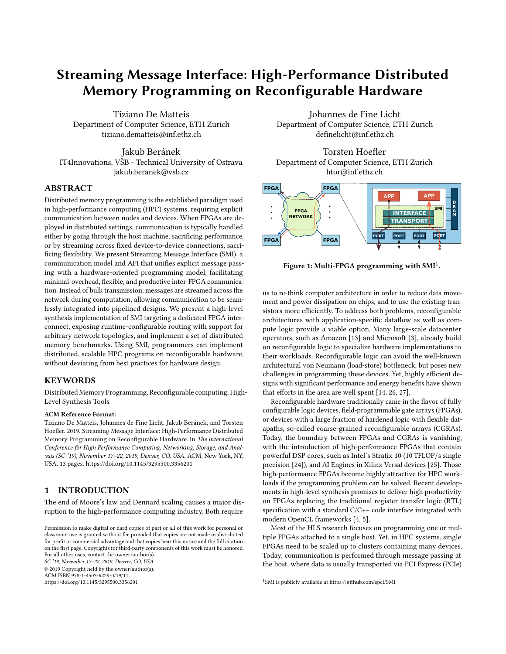# 3.3 Buffering and Communication Mode

SMI channels are characterized by an *asynchronicity degree*  $k \geq 0$ , meaning that the sender can run ahead of the receiver by up to  $k$ data elements. If the sender tries to push the  $(k + 1)$ -th element before an element is popped by the receiver, the sender will stall. The concrete implementation of these buffers can use any form of on-chip memory. Because of this asynchronicity, an SMI send is non-local: it can be started whether or not the receiver is ready to receive, but its completion may depend on the receiver, if the message size is larger than k. Correctness of the communication in a distributed setting must be guaranteed by the user, i.e., ensuring that there are no cyclic dependencies between sends and receives that allow deadlocks, and that the program will terminate even if the system provides no buffering.

If the channel asynchronicity degree is bigger or equal than the message size, we suggest to use an eager protocol to transfer data for efficient point-to-point communication: elements can be pushed into the network without first performing a handshake with the receiver, aided by buffers at either endpoint. This saves costly round-trip latencies, improving the efficiency of small messages. Creating a new channel is thus a zero-overhead operation, as this merely instructs the transport layer where data should be sent. The network interfaces must be able to handle stalling and backpressure to safely enable eager communication. On the other hand, if the buffer size is smaller than the message size, a transmission protocol with credit-based flow control must be used between the two application endpoints, to guarantee that the communication occurring on a transient channel will not block the transmission of other streaming messages.

For streaming collective operations, even with sufficiently large buffers, we cannot rely on backpressure and flow control alone to coordinate senders and receivers. With streaming messages, we exploit that data is produced, communicated, and consumed in a pipelined fashion, such that we can rely on small intermediate storage in the FPGA fast memory to buffer parts of the message during computation. However, when data can arrive from a dynamic number of other ranks to a single root FPGA (all-to-one), or when multiple collectives are used in succession, some ranks can run ahead of others. In these scenarios, data can arrive at the receiver side (the root in all-to-one, or any rank in one-to-all) in arbitrary order. Because of limited buffer space, the root cannot reorder the data for a dynamic number of ranks and number of elements. Consider, for example, a Gather without any coordination: rank  $i + 1$  could send its full contribution to the root before rank  $i$ , which the root would be unable to reorder for arbitrary message sizes.

To ensure correctness in collective primitives, we employ different synchronization protocols, depending on the type of communication used. For one-to-all collectives (i.e., Bcast and Scatter), ranks must communicate to the root when they are ready to receive before the root starts streaming data across the network, to prevent mixing of data from subsequently opened transient channels using the same port. For all-to-one collectives (Reduce and Gather), the root rank must communicate to each source rank when it is ready to receive the given sequence of data. For Bcast, Scatter, and Gather, synchronization is done once per rank, before all data elements from the given rank can be sent. For Reduce, the root



Figure 5: Order of data elements communication (arrows) and coordination steps (numbers) for **Scatter**/**Gather** and **Reduce**, respectively.

synchronizes with all ranks per tile of reduced elements. This is illustrated for Scatter/Gather and Reduce, respectively, in Fig. 5. In Gather/Scatter, each rank will send/receive count elements in sequence, only when allowed by the matching rank (i.e., the root for Gather or a non-root rank for Scatter). The communication between the root and the different ranks are performed in sequential order (shown with arrow and numbers in Fig. 5). For Reduce, the root must receives the first sequence of element from all ranks (in any order, given the associativity and commutativity properties of the reduction operation), before receiving the next sequence from all ranks. All the ranks can stream their contributions in parallel (fill columns in Fig. 5) for the current tile being reduced (horizontal width of columns), to the root. The root communicates to all the other ranks when they can start sending the data for the next tile.

As participating in collective operations is parallel with the number of distinct ports, multiple collectives can perform their rendezvous and communication concurrently.

# 4 REFERENCE IMPLEMENTATION

We present a proof-of-concept implementation of SMI, where the transport layer and all communication primitives are implemented as HLS code, targeting the Intel FPGA SDK for OpenCL [5]. Network connections are implemented using I/O channels in the SDK, which are mapped to physical interfaces implemented by the board support package (BSP) specifying the FPGA shell, provided by the board vendor. SMI as an interface specification is platform independent, but as the transport layer relies on many platform-specific features, we focus on the Intel infrastructure here.

### 4.1 General Architecture

The SMI implementation resides between applications and the network ports exposed by the FPGA board (see Fig. 6). It is composed of two components: the interface, which implements the SMI primitives described in Sec. 3, and a transport component, which handles data transfer between endpoints.

At the SMI application interface, messages are packaged in network packets, which have a size equal to the width of the I/O interface to the network provided by the BSP (e.g., 32 Bytes for the experimental platform used). The network packet is the minimal unit of routing, and it may contain one or more data elements. The transport component receives network packets both from the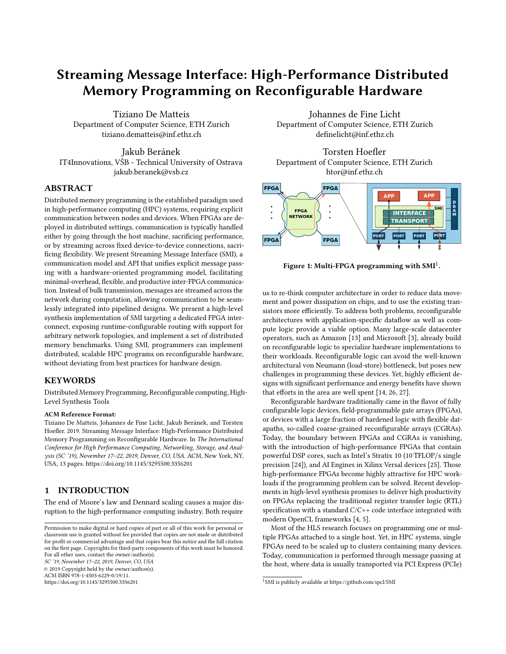SC '19, November 17–22, 2019, Denver, CO, USA T. De Matteis et al.



Figure 6: SMI implementation.

interface and from the network (through the BSP network interfaces). The packet is immediately forwarded onto one of the output links according to the specified target rank and port. The transport layer can accept one new network packet, either coming from the network or from the applications, every clock cycle. With the exception of the routing metadata, no bulk data needs to be buffered in the transport layer, and the transmission of a message is fully pipelined across the network.

# 4.2 Data Forwarding

Each data communication to/from the network involves moving the data between applications and the transport component through physical hardware connections configured on the FPGA. These connections are implemented using FIFO buffers, where the internal buffer size is a compile-time parameter. This buffer size can be tweaked according to the expected length of the messages that will be sent, taking available FPGA resources into account. By increasing the buffer size, a sending rank can commit more data to the network while continuing computations, which can in some cases improve the overall runtime. This is considered an optimization parameter, as programs must not rely on these buffer sizes for correctness (i.e., to avoid deadlocks). The ports declared in Open\_Channel primitives are used to uniquely identify the accessed FIFO buffer, and instructs the HLS compiler to lay down the buffer for connecting the communication endpoint (e.g., a push or a pop) to the transport layer. The transport component effectively acts as middleware between the applications and the network ports.

In the Intel FPGA SDK for OpenCL, channels are restricted to a single reader (for input channels) or writer (for output channels): for this reason, we create dedicated entities that handle access to the BSP network I/O channels. We refer to these entities as send communication kernels  $(CK<sub>S</sub>)$ , if they send data to the network, and receive communication kernels  $(CK_R)$ , if they receive data from the network, respectively. To perform the actual data transmission between two remote endpoints, we can follow two approaches:

• Circuit switching: when a CK<sub>S</sub> accepts the first network packet that composes a message, it will continue to accept data only from that application until all the content of the message has been transferred. The message first transmits a single network packet containing all meta-information (source and destination rank, message data type, port, etc.), followed by a sequence of payload network packets.



Figure 7: Communication kernel (CK) connectivity.

• Packet switching:  $CK_S$  allows interleaving messages from different endpoints. The message is transmitted as a sequence of packets in which each packet must contain the meta-information necessary to route it.

The reference implementation presented here uses the second approach. Despite being less bandwidth efficient, as part of each network packet is consumed by the message header, it allow us to easily multiplex different channels, avoiding temporary stalls due to the transmission of long messages, and all applications can concurrently send/receive messages.

Concretely, network packets in our implementation are composed of 4 Bytes of header data, and a payload of 28 Bytes. The header contains source and destination ranks (1 B each), the port (1 B), the operation type (e.g., send/receive, 3 bits), and the number of valid data items contained in the payload (5 bits). We thus truncate the rank and port information with respect to the SMI interface to 8 bit each to mitigate the penalty of packet switching.

Packing and unpacking network packets is implemented in the Push and Pop primitives. Push internally accumulates data items until a network packet is full. The packet is then forwarded to CK<sub>S</sub>, which will forward it towards its destination. Pop internally unpacks data returned from  $CK_R$ , and transmits it to the application one element at a time, according to the specified data type.

#### 4.3 Routing Management

In our implementation we exploit dedicated interconnection network between FPGAs without using additional network equipment like routers or switches. Therefore, the transport layer is in charge of implementing the routing of the data between any pair of ranks.

Each FPGA network interface is managed by a different  $CK_S/CK_R$ pair. In this way, we avoid a single centralization point that would have serialized packet transferring. Application endpoints are connected to one  $CK_S$  or  $CK_R$  using a FIFO buffer. The communication kernels are interconnected as shown in Fig. 7. After the kernel receives a packet, it consults an internal routing table to determine where to forward the packet. The reference implementation employs a configurable polling scheme: when a  $CK_S/CK_R$  module receives a packet from an incoming connection, it keeps reading from the same connection up to  $R$  times (where  $R$  is an optimization parameter) while data is available, before continuing to poll other ports. With  $R = 1$ , the CK<sub>S</sub> module polls a different connection every cycle. Higher values of  $R$  increase the bandwidth for applications with a sparse communication pattern, but increases the per-connection latency for applications where many incoming connections are active simultaneously.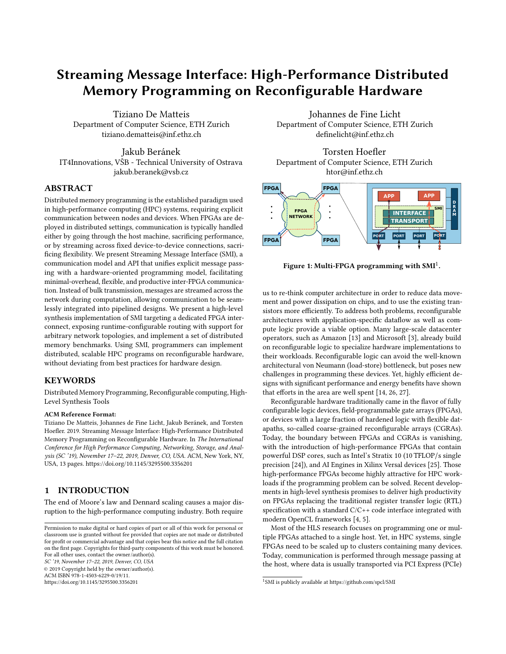The routing information used by the SMI communication kernels can be uploaded dynamically at runtime, allowing it to be specialized to the interconnect, and even to the application. We use static routing to determine the optimal paths for routing packets between any pair of FPGAs: before the application starts, the paths between FPGAs are computed using a deadlock-free routing scheme [8], according to the target FPGA interconnection topology. If the interconnection topology changes, or the programs run on a different number of FPGAs, the bitstream does not need to be rebuilt, as the routing scheme merely needs to be recomputed and uploaded to each device.

Routing tables are buffered in on-chip memory local to each  $CK_R$ and  $CK_S$  module. The routing tables at sender modules ( $CK_S$ ) are indexed by the destination rank of the packet: if the destination rank is the local rank, the packet is forwarded to the connected  $CK_R$ ; otherwise, the packet is forwarded either to another local CK<sub>S</sub> module, or to the associated network interface. At a receiver module  $(CK_R)$ , if the destination rank is not the local rank, it is forwarded to the associated CK<sub>S</sub> module. This situation could occur when the local rank is an intermediate hop in the route to reach the destination. Otherwise, the  $CK_R$  will use the port of the packet as an index into its routing table. The table instructs it to either send the packet directly to a connected application, or to forward the packet to the CK<sub>R</sub> that is directly connected to the destination port.

By implementing the routing logic in this way, we guarantee that a rank is reachable from all others, even if there is no physical direct connection between them, and we allow the communication topology to be changed without regenerating the FPGA bitstream.

#### 4.4 Collective Implementation

Collective communication requires coordination between involved ranks (see Sec. 3.2). In our reference implementation, collectives are implemented using a simple linear scheme. The implemented SMI transport layer uses a support kernel for coordinating each collective. Support kernels reside between the application and the associated  $CK_R/CK_S$  modules, and their logic is specialized to the specific collective. For this reason they can also be exploited to offer different implementations of collectives, such as tree-based schema for Bcast and Reduce. Both the root and non-root behavior is instantiated at every rank, to allow the root rank to be specified dynamically. For Bcast and Scatter, the support kernel will wait at the root for the notification that a receiving rank is ready to receive before streaming data towards it. For Gather, the root rank has to receive the data from the ranks in the correct order, which is coordinated by the support kernel. For Reduce, the support kernel will be in charge of receiving the elements to reduce, and applying the relevant reduction operation. The latter implements rendezvous with a credit-based flow control algorithm with C credits, corresponding to an internal buffer of size  $C$  at the root rank holding accumulation results. When C contributions have been received from each rank, the reduced result is forwarded to the application, and new credits are sent to the ranks (C can be considered a tile size of the Reduce communication, corresponding to the width of columns in Fig. 5).



Figure 8: Development workflow.

# 4.5 Development Workflow

The development workflow for using SMI is depicted on Fig. 8. The communication logic of SMI is produced by a code generator. It takes the description of SMI operations (ports, data types) as an input and outputs a device source file with all the necessary  $CK_S, CK_R$ , communication primitives and collective support kernel implementations that are tailored for the specified set of SMI operations. The code generator also outputs a host header file that contains support functions for SMI initialization.

To generate the correct input to the code generator, we provide a metadata extractor, that parses the user's device code with Clang, finds all used SMI operations and extracts their metadata to a file. After the code generator is executed on this metadata, the codegenerated SMI implementation can be compiled together with the the user's code by an FPGA compiler to produce a bitstream. For SPMD programs, only one instance of the code is generated, and thus the user only needs to build a single bitstream for any number of nodes in a multi-FPGA system.

A route generator accepts the network topology of the FPGA cluster and produces the necessary routing tables that drive the forwarding logic at runtime. The topology is provided as a JSON file, which describes connections between FPGA network ports. The route generator needs to access metadata created by the code generator, but it doesn't modify or create any source code and therefore it can be executed independently from the compilation (crucially, you can change the routes without recompiling the bitstream).

Finally, the user host program takes the compiled bitstream and the routing tables as inputs, and uses functions provided by the generated host header to setup the routing tables, and to start all of the SMI transport components on the FPGA. We also provide build system integration for CMake which fully automates the full workflow with a single function invocation.

#### 4.6 Implementation Portability

The proof-of-concept implementation of SMI discussed here targets the Intel FPGA SDK for OpenCL, but as SMI is a platform independent interface specification, it can be implemented for other vendors, such as Xilinx FPGAs, as well. The interface, and key concepts of the transport component can be reused, adapting it to the target platform and SDK (changing the pragma style, FIFO buffer management, etc.). However, the current implementation exploits Intel OpenCL I/O channels to perform communications using the on-board network interfaces. To the best of our knowledge, other vendors do not expose similar high level network interfaces directly from the shell to the HLS programmer. Therefore, additional IP cores would be necessary to port the transport component.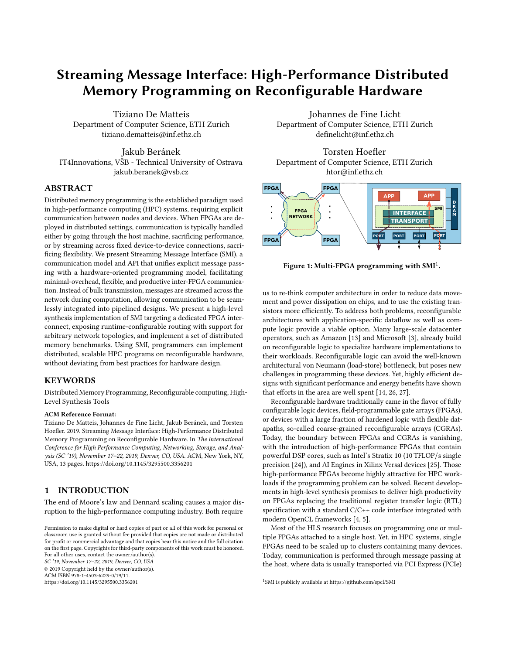#### 5 EVALUATION

To analyze the expressiveness of SMI and the performance of our reference implementation, we implement four microbenchmarks and two distributed applications, showing both the SPMD and MPMD approaches of writing SMI-based kernels.

#### 5.1 Experimental Setup

We target the Noctua cluster at the University of Paderborn, which contains Nallatech 520N boards, each carrying a Stratix 10 GX2800 FPGA chip. The board exposes 4 quad small form-factor pluggable (QSFP) transceivers as network ports, each rated at 40 Gbit/s. The QSFP interfaces do not implement a full reliable network stack, but implement error correction, flow control, and handle backpressure, which we can rely on in our communication layer. We target the 18.1.1\_max BSP provided by Nallatech, which exposes the QSFP ports as 8 I/O channels (4 input and 4 output) per device. The I/O channels exposed to HLS are 256 bit wide, and can be accessed using read/write primitives. All hardware kernels (applications and transport layer) running on the device is implemented in OpenCL, and are compiled with the Intel Quartus Prime Pro 18.1.1 toolset.

Within the target cluster, each node contains two FPGA devices, and the QSFP ports of different FPGAs are directly connected to each other (either within or between nodes). The FPGA interconnection topology is described by a list of point-to-point connections, which is used to generate the routing tables. For the experiments performed here, we had access to 8 FPGAs connected in a 2D torus, such that all the 4 QSFP ports in each FPGA are wired to 4 distinct other FPGAs. Each host node is equipped with two Intel Xeon Gold 6148F CPUs, for a total of 40 cores operating at <sup>2</sup>:4 GHz, and have 192 GB of DRAM. The nodes are interconnected using an Intel Omni-Path 100 Gbit/s network. Host code is compiled using gcc v7.3 and OpenMPI v3.1.

All experiments were executed multiple times until 99% confidence interval is within 5% of the measured median. For the tests in which there is no host intervention, few runs were sufficient to meet this condition, due to the highly deterministic nature of FPGA codes. Then, median times have been considered for producing the reported performance figures.

#### 5.2 FPGA Resource Utilization

Tab. 1 shows the FPGA resource consumption of SMI, in terms of lookup tables (LUTs), flip-flops (FFs) and on-chip memory blocks (M20Ks). The table reports resources consumed by the interconnection structure (Interconn.) and communication kernels (C.K.) both in absolute values and in fractions of the total resource capacity. We consider two scenarios: one where only a single network port is used, and one where all the four available network ports are utilized. In the former case, only one pair of communication kernels is deployed. In the latter,  $4 CK_S/CK_R$  kernels are used, leading to additional interconnect logic. In either case, we consider one application endpoint attached per  $CK_S/CK_R$  pair.

The the number of used resources grows slightly faster than linear. This is due to the fact that the number of input/output channels that the communication kernels must handle increases with the number of used QSFPs. In all cases, the resource overhead of SMI is insignificant, amounting to less than 2% of the total chip

|            | 1 OSFP      |             | 4 QSFPs |             |            |              |
|------------|-------------|-------------|---------|-------------|------------|--------------|
|            | <b>LUTs</b> | <b>FFs</b>  | M20Ks   | <b>LUTs</b> | <b>FFs</b> | <b>M20Ks</b> |
| Interconn. | 144         | 4.872       | 0       | 1.152       | 39,264     | $\theta$     |
| C. K.      |             | 6.186 7.189 | 10      | 30,960      | 31.072     | 40           |
| % of max   | 0.3%        | 0.7%        | $0\%$   | 1.7%        | 1.9%       | 0.3%         |

Table 1: SMI resource consumption.

resources. Tab. 2 reports the resource consumption of the support kernels used to implement the collectives evaluated in the following. These numbers are for 32-bit floating point data, and with SUM as the Reduce operation.

|                   | <b>LUTs</b>     | FFs.           | M20Ks    | <b>DSPs</b> |
|-------------------|-----------------|----------------|----------|-------------|
| Broadcast         | $2,560(0.1\%)$  | $3,593(0.1\%)$ | $0(0\%)$ | $0(0\%)$    |
| Reduce (FP32 SUM) | $10,268(0.6\%)$ | 14,648 (0.4%)  | $0(0\%)$ | $6(0.1\%)$  |

Table 2: Collectives kernel resource consumption.

#### 5.3 Microbenchmarks

To measure how well our reference implementation can exploit the experimental setup, we evaluate its key characteristics by using a set of four microbenchmarks. Communication kernels use  $R =$ 8, and an eager transmission protocol is used for point-to-point communication.

5.3.1 Bandwidth. In this benchmark, a source application streams a large message to a receiver. To test our routing approach, and measure the properties of SMI on less connected topologies, we vary our connection topology so that the two applications are at different network distances (hops), by disabling other connections as needed. This is done by changing the connection list used to compute the routes, so that the 8 FPGAs are treated as being organized along a linear bus, rather than in a torus (without rebuilding the bitstream).

As a reference comparison for the SMI bandwidth, we consider a data transfer performed through the host stack, where the application writes the message into off-chip DRAM on the device, transfers it across PCIe to the host, sends it to the remote host using an MPI\_Send primitive. On the receiving host, symmetric operations are performed. Fig. 9 shows the achieved bandwidth by varying the message size and considering only the payload as data exchanged. SMI approaches 91% of the peak bandwidth offered by the QSFP connection, which is 35 Gbit/s when taking the 4 B header of each network into account. Because the message is streamed, larger network distance (in the absence of contention in the network) does not affect the achieved bandwidth. Despite using a higher bandwidth interconnect, the host-based implementation achieves approximately one third of the SMI bandwidth, due to the long sequence of copies through local device memory, local PCIe, host network, remote PCIe, and remote device memory.

While this benchmark shows the bandwidth advantage on the tested PCIe-attached setup, SMI is not coupled to a specific transport layer. For example, in FPGAs with a high bandwidth cachecoherency bus to the host CPU (e.g., Intel HARP devices), or where a NIC can write to FPGA memory directly, it could be more beneficial to use the general purpose interconnect as the transport backend instead.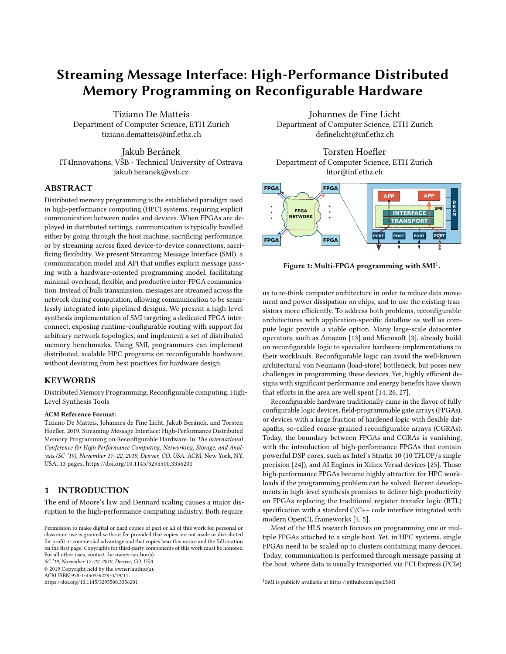

Figure 9: Bandwidth comparison between SMI and hostbased communication. Higher is better. Dashed lines indicate peak QSFP and PCIe bandwidths.

5.3.2 Latency. We measure the message latency by implementing a ping-pong benchmark of a small message between two ranks, and measure the latency as half the execution time of a single round-trip. Tab. 3 shows the measured latency. As comparison reference we implemented the same benchmark by using host based communications. As expected, SMI is able to obtain a much lower latency, and the time needed to reach the target increases linearly with the increase of the network distance.

| MPI+OpenCL SMI-1 SMI-4 SMI-7 |       |       |       |
|------------------------------|-------|-------|-------|
| 36.61                        | 0.801 | 2.896 | 5.103 |

Table 3: Measured latency in  $\mu$ secs. For SMI, numbers indicate the hops needed to reach destination.

5.3.3 Injection rate. We measure the number of cycles that pass before a  $CK_S$  (or  $CK_R$ ) is able to inject another request from the same application endpoint: i.e., the injection latency of the design. The injection *rate* is computed from this according to the clock frequency of the design. To benchmark this, we use a sender application that opens a send channel and sends a message with one element at every iteration of a pipelined loop (i.e., every clock cycle). Independent of the network, the sender is thus capable of an injection rate equivalent to the clock frequency of the design.

We benchmark the scenario in which we have 4 communication channels per FPGA with  $4 \, CK_R/CK_S$  pairs and we let the parameter R vary. We measure the injection rate by dividing the number of injected messages by the kernel execution time, then multiplying this by the clock frequency to obtain the injection latency.

| $R = 1$ $R = 4$ $R = 8$ $R = 16$ |    |      |
|----------------------------------|----|------|
| 25                               | 18 | 1.69 |

Table 4: Average injection rate in number of cycles.

For the case in which  $R = 1$  we measure 5 clock cycles. This latency is due to the implemented packet switching protocol (see Sec. 4.3), where the  $CK_S$  module polls a different port at every cycle, corresponding to a latency of 5 cycles (1 from the application, 1 from  $CK_R$ , 3 from other  $CK_S$  modules). As long as R increases, the injection rate decreases as the communication kernels will spend more time in reading from the same port.

5.3.4 Collective operations. We benchmark the time required to broadcast and reduce a message of varying size between 4 and 8 FP-GAs, considering two different connection topologies: a torus, and a linear bus. The evaluation is done with 32-bit floating point data and with SUM as the Reduce operation. Results are shown in Fig. 10 and Fig. 11 for broadcast and reduce, respectively. For broadcast, SMI is able to achieve lower communication time for all the considered input sizes. SMI achieves similar performance independently of the considered connection topology. For small to medium-sized messages, SMI's Reduce outperforms going over the host using OpenCL and MPI, but loses its benefit at high message sizes. The credit-based flow control algorithm implemented by the root is latency sensitive, therefore the time to completion increases with the diameter of the network. The SMI reference implementation does not yet implement tree-based collectives, resulting in a higher congestion in the root rank.



Figure 10: **Bcast** benchmark comparison between SMI and host-based communication. Lower is better.



Figure 11: **Reduce** benchmark comparison between SMI and host-based communication. Lower is better.

# 5.4 Applications

5.4.1 GESUMMV. Dense linear algebra makes up some of the most common routines in HPC applications, and are good candidates for exploiting the spatial parallelism offered by FPGAs. We consider the GESUMMV routine, which is a part of the Extended BLAS set [2], which in turn invokes BLAS subroutines. It computes  $= Ax +$ Bx, where and are scalars,  $x$  and are vectors of length  $N$ , and A and B are matrices of size  $N \times N$ . To show the benefit of SMI,

we implement a single chip and a distributed version of the routine. The single-FPGA implementation consists of two matrix-vector multiplications (GEMV routines) that compute in parallel, and stream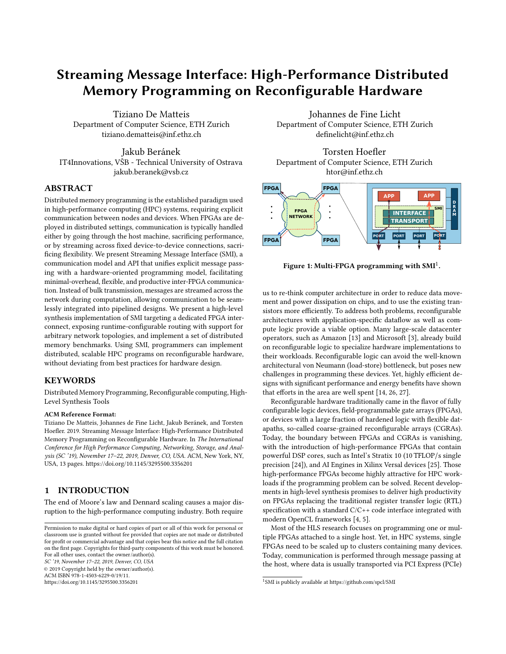their results to a vector addition module (AXPY routine) producing the final result (Fig. 12, left). As these routines are memory-bound, the computation is bottlenecked by memory bandwidth.



Figure 12: **GESUMMV** implementations.

The distributed implementation is obtained by functional decomposition, and it is implemented as a MPMD program using two ranks (Fig. 12, right). Rank 0 computes the first matrix-vector multiplication and sends the result elements to rank 1 using an SMI channel. On rank 1, the second matrix-vector multiplication and the vector addition are performed, receiving data from both local DRAM and the remote GEMV routine. The full application thus gains access to twice the memory bandwidth across the two FPGAs. The implementations of GEMV and AXPY are derived from an open-source synthesizable library [18].

Fig. 13 shows the expected speedup of ∼2× of the distributed implementation over the single-chip implementation. Execution times of the SMI benchmarks are reported on top of the histogram boxes. Adapting the application required only minimal code modifications to the kernel, with a difference of 8 lines of code: GEMV on rank 0 is changed to perform an SMI send rather than pushing its result to a regular FIFO, and the vector addition is modified to read one of its inputs from an SMI network channel.

![](_page_9_Figure_7.jpeg)

Figure 13: **GESUMMV** benchmark results for different matrix sizes (square and rectangular).

5.4.2 Stencil. Stencil applications are a suitable target for FPGA acceleration, as their regular access pattern allows implementing memory reuse schemes that make highly efficient use of on-chip memory. Even with perfect reuse across the spatial domain, however, stencils generally exhibit low computational intensity. Additional reuse can be obtained by using time tiling, which is implemented on FPGAs by connecting a linear array of processing elements in a deep pipeline, executing multiple timesteps in parallel [22, 28]. When parallelizing to multiple FPGAs, Sano et al. [22]

simply extend this array to multiple FPGAs by using serial connections between them in a streaming model (as conceptually illustrated in Fig. 3).

For large stencil domains, FPGA designs must tile the spatial domain in addition to the time domain, as the required buffer size grows with the size of the domain. This results in a halo region of redundant computations, which is proportional to the number of pipelined timesteps executed in parallel [28]. This puts a hard limit on the scalability of this approach, as the number of redundant computations will in the extreme case dominate "useful" computations. Furthermore, not all stencils require or allow time tiling, leaving spatial parallelism (e.g., vectorization) as the only option to speed up the computation, in which case the problem becomes memory bound. It is thus desirable to parallelize spatially across multiple FPGAs, exploiting both compute resources and memory bandwidth of multiple devices.

We implement a SPMD distributed memory FPGA stencil code using SMI. The spatial domain is scattered to multiple devices before execution, and the devices exchange halo regions during computation. Shift registers are used to achieve perfect spatial reuse within each FPGA. We decompose the domain in two dimensions, such that each FPGA communicates to and from a north, west, east, and south neighbor, shown in Fig. 14. Additional tiling can be employed for large domains and 3D stencils by further decomposing the domain on each rank without affecting the communication pattern. The communication is naturally expressed with streaming messages in the pipelined code. A snippet of the communication code is shown in Lst. 3: at each timestep, channels are opened to adjacent ranks using a distinct port for each neighbor, and data is read from the network during computation using SMI\_Pop commands. Although the west and east halos are not contiguous in memory, they are expressed as a single message in the streaming messages model. Due to the transient nature of SMI channels, all ranks will be configured with the same bitstream, and the rank of adjacent neighbors is computed at runtime. If no neighbor exists (e.g., the west and north neighbor for  $FPGA_0$  in Fig. 14), the given channel simply remains unused.

To fully hide communication, the communication volume of the non-halo region of size  $(N_X - 2h_X) \cdot (N - 2h)$  must be greater than the communication volume of the halo regions of size 2 ·  $(2h_XN + 2h N_X)$  (send and receive), weighted by the memory bandwidth consumed to read values from memory on each FPGA  $(B_{\text{mem}})$  and the network bandwidth between two adjacent FPGAs  $(B_{\text{comm}})$ , respectively (for our system, we consider  $B_{\text{comm}}$  constant. In larger networks,  $B_{\text{comm}}$  depends on how ranks are mapped to

![](_page_9_Figure_14.jpeg)

Figure 14: Halo region exchange between FPGAs.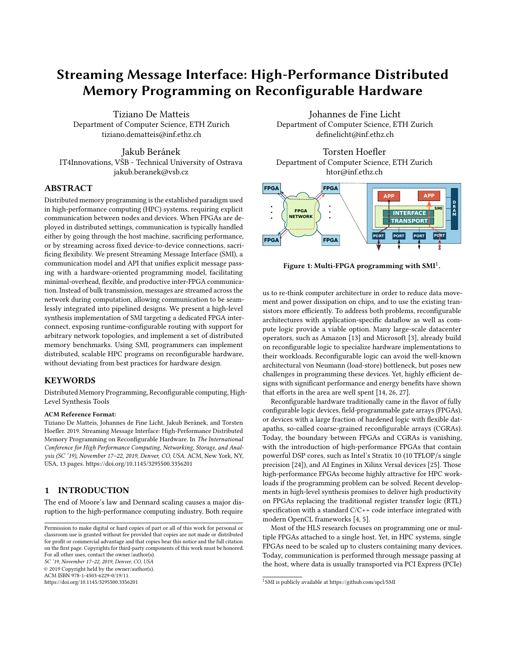the network topology). That is, the following inequality must hold:

$$
\frac{(N_X - 2h_X) \cdot (N - 2h)}{B_{\text{mem}}} \ge \frac{4(N_X \cdot h + N \cdot h_X)}{B_{\text{comm}}}
$$

 $^{B_{\rm mem}}$   $^{B_{\rm comm}}$  bomm  $^{B_{\rm comm}}$ size, this condition is easily met when tackling large problems.

For benchmarks we use a 4-point stencil (i.e.,  $h_X = h = 1$ ). We demonstrate the benefit of spatial tiling in a distributed memory FPGA setting using SMI by showing the strong scaling behavior of five kernels executed over the same stencil domain: a vectorized kernel with perfect spatial reuse, reading 16 elements per cycle from a single DDR bank (1 bank/1 FPGA); a spatially tiled kernel running on a single node, reading 64 elements per cycle across all four memory modules of the FPGA (4 banks/1 FPGA); an SMI code running on four FPGAs, each reading 16 elements per cycle from a single memory bank per FPGA (1 bank/4 FPGAs); an SMI code running on four FPGAs, each reading 64 elements per cycle across all memory banks (4 banks/4 FPGAs); and an SMI implementation running on 8 FPGAs organized in a  $2 \times 4$  shape, each reading 64 elements per cycle across all memory banks (4 banks/8 FPGAs). Results are shown in Fig. 15 for a 4096 × 4096 domain, executed for 32 timesteps using the torus connection topology. We executed the same benchmarks with the FPGAs organized in a bus topology, and observed this to not affect the execution time.

Exploiting four banks on a single FPGA, and exploiting one bank per FPGA on four FPGAs, both show a nearly identical speedup of <sup>3</sup>:5×, demonstrating that communication and computation is fully overlapped. When reading 64 elements on four FPGAs, we get the exact product  $3:5 \cdot 3:5 = 12:3 \times$  as speedup over the single bank version, while 8 FPGAs exhibit a speed of <sup>23</sup>:1. In Fig. 16 we evaluate weak scaling, by reporting the average computation time

```
1 for (int t = 0; t < T; t^{++}) {
2 int num_elems = h_y*(N_x-2*h_x); // Size of halo region
3 int r_x = rank / RY; // Rank coordinates
4 int r_y = \text{rank } x RY;
5 SMI_Channel recv_west = SMI_Open_recv_channel(
    num_elems, SMI_FLOAT, r_x \times RY + (r_y - 1), 1,SMI_COMM_WORLD);
8 SMI_Channel recv_east = SMI_Open_recv_channel(
     num_elems, SMI_FLOAT, r_x \times RY + (r_y + 1), 2,
10 SMI_COMM_WORLD);
11 // ...open remaining channels...
12 for (int i = 0; i < N_x; i++) { // Pipelined
13 for (int j = 0; j < N_y; j^{++}) { // region
14 float value;
15 bool on_corner = /* \dots */;
16 if (r_y > 0 && j < h_y && !on_corner) { // On left
17 SMI_Pop(&recv_west, &value); // halo
18 } else if (ry < RY - 1 && j >= N_y - h_y &&
19 !on_corner) {
20 SMI_Pop(&recv_east, &value);
21 // ...handle other halos and boundary conditions...
22 } else
23 value = memory\lceil i \star N \rceil + i \rceil;
24 write_channel_intel(to_kernel, value); // Stream to
25 } } } // compute
```
Listing 3: Communication in pipelined stencil code.

![](_page_10_Figure_9.jpeg)

Figure 15: Stencil benchmark with and without SMI.

![](_page_10_Figure_11.jpeg)

Figure 16: Average execution time per stencil point of SMI for varying grid size with 4 memory banks per FPGA.

per grid point obtained with different grid sizes for the 4 and 8 FPGAs setups. At large grid sizes, 8 FPGAs achieve a 2x speedup over 4 FPGAs.

With SMI and our reference implementation, we show that we can execute FPGA programs in both MPMD and SPMD fashion, target any network topology, specialize to the target network topology, and scale the number of FPGAs using the same bitstream. Adapting to SMI requires minimal code intervention, as the interface integrates into the conventional streaming approach taken by pipelined HLS codes, and is thus nearly equivalent to parallelizing the code on a single device.

# 6 RELATED WORK

In previous work targeting multi-FPGA systems, FPGAs interconnected by point-to-point serial connections are typically programmed according to the streaming model (Fig. 3). The common approach to scaling to multiple FPGAs is to organize the computation in a pipeline spanning across multiple chips, in which each stage communicates only with the previous and the successive stage (e.g., systolic array approaches). Sato et. al. [22] parallelize 2D and 3D stencils in this way by pipelining a linear array of processing elements across multiple FPGAs. Each processing element performs one time-step, and the results are streamed to the next one. Zhang et al. [27] propose an implementation of a convolutional neural network that pipelines 6 FPGA devices connected in a ring topology. In their solution, a network layer is implemented by a single stage. Geng et al. [10] addresses a similar problem by proposing a pipelined implementation in which layers are distributed across multiple pipeline stages. Owaida et al. [20] parallelize the inference over a decision tree ensemble. They proposed a communication shell to implement communications between FPGAs either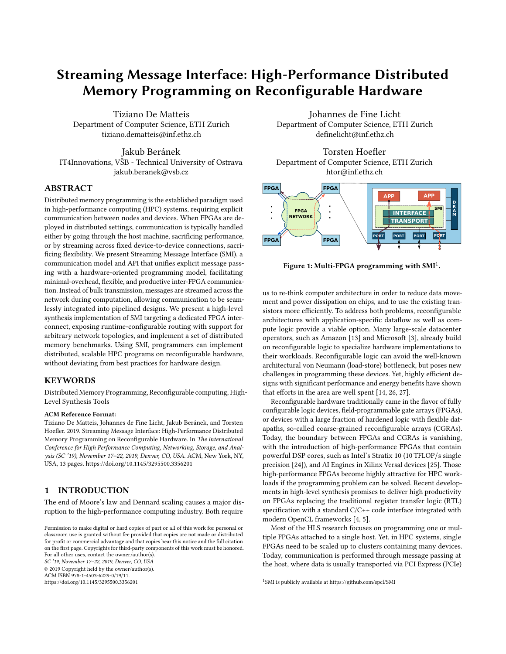by using serial links or via host intervention. In all the aforementioned cases, the application programmer is limited to the streaming model in expressing a distributed computation, constructing the exact path to move the data across the FPGAs in the system. With streaming messages and SMI we propose a more flexible solution, allowing programmers to dynamically exploit arbitrary communication topologies in the spirit of MPI, while maintaining a streaming programming model for computations.

Despite accelerators being ubiquitous in supercomputers and data centers, there is no unified programming model or library for communicating directly from/to accelerator devices. Traditionally, programmers have been forced to use a mix of different programming models (e.g, MPI+CUDA or MPI+OpenCL). More recently, there has been an effort from the HPC community in developing programming models and libraries that treat accelerators as firstclass citizens: Aji et al. [1] propose MPI-ACC, an accelerator-aware MPI implementation, to support data transfers in heterogeneous clusters; Gysi et al. [12] propose dCuda, which combines the CUDA programming model with a subset of MPI remote memory access operations; and the authors of IMPACC [15] propose integrating MPI and OpenACC, by mapping all the available host and device memories in a node to a single unified node virtual address space. All these solutions involve intervention of the host to perform the actual data communication. In SMI, we provide an acceleratororiented communication library, and show how this can be used to exploit a dedicated FPGA interconnect, avoiding costly trips through the host nodes, saving PCIe, host DRAM, and host network bandwidth.

In the context of FPGA programming, various works address applying the message passing model to multi-FPGA systems. TMD-MPI [21] implements a subset of MPI primitives for multi-FPGA systems. The authors implement a VHDL-based engine that performs communications, exploiting shared memory (if the FPGAs are attached to the same host) or a specialized network interface (for remote communications). Shu et al. [23] propose DUA, a communication architecture that provides uniform access for FPGAs to data center resources like CPUs, GPUs, and disks. The system is implemented in Verilog, but provides an OpenCL interface, and targets FPGAs implementing a full network stack in a cloud setting. The system provides basic message-passing primitives, but does not go further to address the programming model. Eskandari et al. [9] propose HUMboldt, a message passing communication layer, supporting messages to be sent among different FPGA kernels and CPU kernels. In all these works, authors apply the message passing model directly to program a multi-FPGA system. With SMI, we explicitly address the issue of programming communication in a pipelined HLS setting, providing a model and interface that is familiar to HPC users, yet integrates well into hardware designs.

Finally, George et al. [11] present a network infrastructure for allowing communication among FPGAs organized in a 3D torus. In their subsequent work [17], they build an OpenCL abstraction on top of this network stack to enable inter-FPGA communications in HLS programs. In contrast to SMI, their solution exploits the streaming model, without defining a precise communication interface and with no support for collective communications.

# 7 CONCLUSION

We propose streaming messages, a communication model for distributed memory programming on reconfigurable hardware. Streaming messages unify message passing and traditional streaming communication, allowing transient channels to be dynamically established between multiple FPGAs in distributed systems, while maintaining a programming model that integrates seamlessly into HLS designs. To capture and expose the semantics of streaming messages, we introduce SMI, a communication interface specification for HLS programs, drawing inspiration from MPI, but designed to fit the hardware programming model, and release an open source reference implementation for use with OpenCL-capable Intel FP-GAs. With the simple and powerful model offered by SMI, we hope to further the viability of FPGAs as a HPC accelerators, and make distributed programming on FPGAs more accessible to both HPC and hardware developers.

# ACKNOWLEDGMENTS

We wish to thank the Paderborn Center for Parallel Computing  $(PC<sup>2</sup>)$ , in particular Christian Plessl and Tobias Kenter, for access, support, maintenance, and upgrades, sometimes on very short notice. We also would like to thank Mohamed Issa (Intel Corporation), for valuable suggestions. This project has been supported from the European Research Council (ERC) under the European Union's Horizon 2020 programme, Grant Agreement No. 678880 (DAPP), and Grant Agreement No. 801039 (EPiGRAM-HS). Jakub Beránek was supported by the European Science Foundation through the "Science without borders" project, reg. nr. CZ.02.2.69/0.0./0.0./16\_027/ 0008463 within the Operational Programme Research, Development and Education.

#### REFERENCES

- [1] A. M. Aji, L. S. Panwar, F. Ji, K. Murthy, M. Chabbi, P. Balaji, K. R. Bisset, J. Dinan, W. Feng, J. Mellor-Crummey, X. Ma, and R. Thakur. 2016. MPI-ACC: Accelerator-Aware MPI for Scientific Applications. IEEE Transactions on Parallel and Distributed Systems 27, 5 (May 2016), 1401–1414. [https://doi.org/10.1109/](https://doi.org/10.1109/TPDS.2015.2446479) [TPDS.2015.2446479](https://doi.org/10.1109/TPDS.2015.2446479)
- [2] Susan Blackford, James Demmel, Jack Dongarra, Iain Duff, Sven Hammarling, Greg Henry, Michael Heroux, Linda Kaufman, Andrew Lumsdaine, Antoine Petitet, Roldan Pozo, Karin Remington, and Clint Whaley. 2002. An Updated Set of Basic Linear Algebra Subprograms (BLAS). ACM Trans. Math. Softw. 28, 2 (June 2002), 135–151.
- [3] E. Chung, J. Fowers, K. Ovtcharov, M. Papamichael, A. Caulfield, T. Massengill, M. Liu, D. Lo, S. Alkalay, M. Haselman, M. Abeydeera, L. Adams, H. Angepat, C. Boehn, D. Chiou, O. Firestein, A. Forin, K. S. Gatlin, M. Ghandi, S. Heil, K. Holohan, A. El Husseini, T. Juhasz, K. Kagi, R. Kovvuri, S. Lanka, F. van Megen, D. Mukhortov, P. Patel, B. Perez, A. Rapsang, S. Reinhardt, B. Rouhani, A. Sapek, R. Seera, S. Shekar, B. Sridharan, G. Weisz, L. Woods, P. Yi Xiao, D. Zhang, R. Zhao, and D. Burger. 2018. Serving DNNs in Real Time at Datacenter Scale with Project Brainwave. IEEE Micro 38, 2 (Mar 2018), 8–20. [https://doi.org/10.1109/](https://doi.org/10.1109/MM.2018.022071131) [MM.2018.022071131](https://doi.org/10.1109/MM.2018.022071131)
- [4] J. Cong, B. Liu, S. Neuendorffer, J. Noguera, K. Vissers, and Z. Zhang. 2011. High-Level Synthesis for FPGAs: From Prototyping to Deployment. IEEE Transactions on Computer-Aided Design of Integrated Circuits and Systems 30, 4 (April 2011), 473–491.<https://doi.org/10.1109/TCAD.2011.2110592>
- [5] Tomasz S Czajkowski, Utku Aydonat, Dmitry Denisenko, John Freeman, Michael Kinsner, David Neto, Jason Wong, Peter Yiannacouras, and Deshanand P Singh. 2012. From OpenCL to high-performance hardware on FPGAs. In 22nd international conference on field programmable logic and applications (FPL). IEEE, 531–534.
- [6] Johannes de Fine Licht, Simon Meierhans, and Torsten Hoefler. 2018. Transformations of High-Level Synthesis Codes for High-Performance Computing. CoRR abs/1805.08288 (2018). arXiv[:1805.08288 http://arxiv.org/abs/1805.08288](http://arxiv.org/abs/1805.08288)
- [7] Rob Dimond, Sébastien Racaniere, and Oliver Pell. 2011. Accelerating largescale HPC Applications using FPGAs. In 2011 IEEE 20th Symposium on Computer